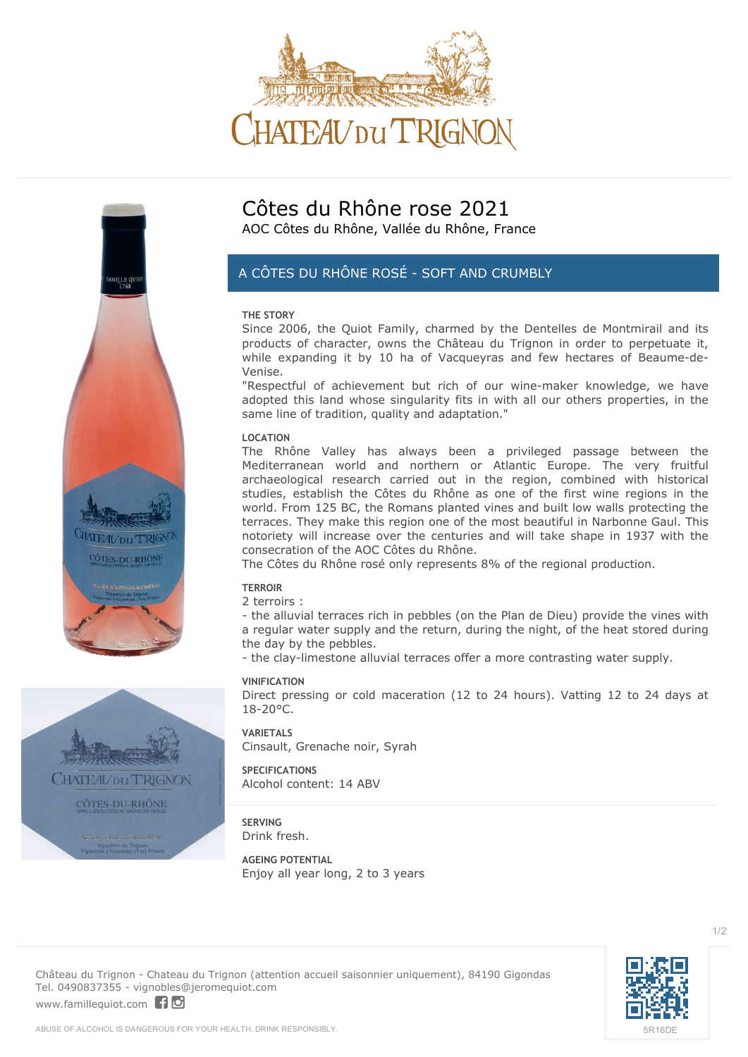





nobles du Trignon<br>À Gigandas (Man) E

# **Côtes du Rhône rose 2021** AOC Côtes du Rhône, Vallée du Rhône, France

# *A CÔTES DU RHÔNE ROSÉ - SOFT AND CRUMBLY*

#### **THE STORY**

Since 2006, the Quiot Family, charmed by the Dentelles de Montmirail and its products of character, owns the Château du Trignon in order to perpetuate it, while expanding it by 10 ha of Vacqueyras and few hectares of Beaume-de-Venise.

"Respectful of achievement but rich of our wine-maker knowledge, we have adopted this land whose singularity fits in with all our others properties, in the same line of tradition, quality and adaptation."

#### **LOCATION**

The Rhône Valley has always been a privileged passage between the Mediterranean world and northern or Atlantic Europe. The very fruitful archaeological research carried out in the region, combined with historical studies, establish the Côtes du Rhône as one of the first wine regions in the world. From 125 BC, the Romans planted vines and built low walls protecting the terraces. They make this region one of the most beautiful in Narbonne Gaul. This notoriety will increase over the centuries and will take shape in 1937 with the consecration of the AOC Côtes du Rhône.

The Côtes du Rhône rosé only represents 8% of the regional production.

## **TERROIR**

2 terroirs :

- the alluvial terraces rich in pebbles (on the Plan de Dieu) provide the vines with a regular water supply and the return, during the night, of the heat stored during the day by the pebbles.

- the clay-limestone alluvial terraces offer a more contrasting water supply.

#### **VINIFICATION**

Direct pressing or cold maceration (12 to 24 hours). Vatting 12 to 24 days at  $18 - 20^{\circ}$ C.

**VARIETALS** Cinsault, Grenache noir, Syrah

**SPECIFICATIONS** Alcohol content: 14 ABV

**SERVING** Drink fresh.

**AGEING POTENTIAL** Enjoy all year long, 2 to 3 years



 $1/2$ 

**Château du Trignon** - Chateau du Trignon (attention accueil saisonnier uniquement), 84190 Gigondas Tel. 0490837355 - vignobles@jeromequiot.com

<www.famillequiot.com>| 10